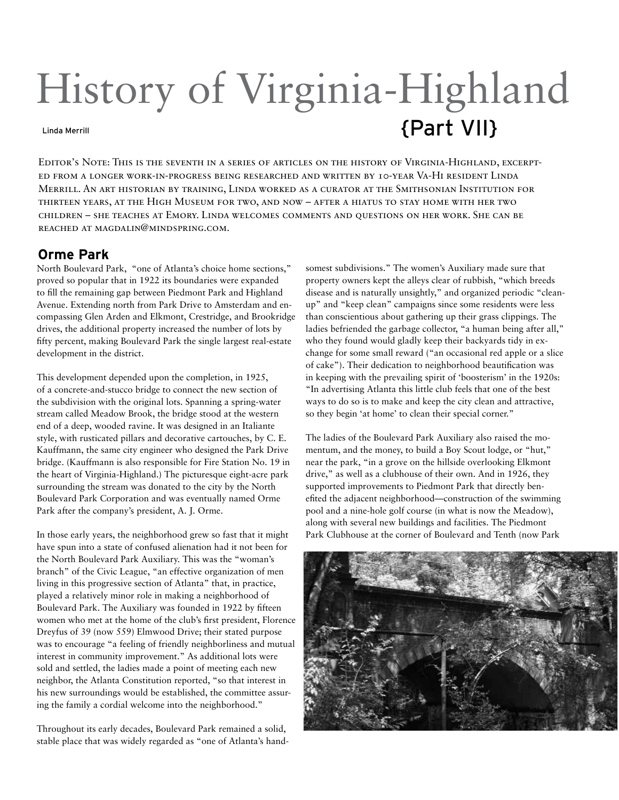# History of Virginia-Highland Linda Merrill **Linda Merrill**

Editor's Note: This is the seventh in a series of articles on the history of Virginia-Highland, excerpted from a longer work-in-progress being researched and written by 10-year Va-Hi resident Linda Merrill. An art historian by training, Linda worked as a curator at the Smithsonian Institution for thirteen years, at the High Museum for two, and now – after a hiatus to stay home with her two children – she teaches at Emory. Linda welcomes comments and questions on her work. She can be reached at magdalin@mindspring.com.

### **Orme Park**

North Boulevard Park, "one of Atlanta's choice home sections," proved so popular that in 1922 its boundaries were expanded to fill the remaining gap between Piedmont Park and Highland Avenue. Extending north from Park Drive to Amsterdam and encompassing Glen Arden and Elkmont, Crestridge, and Brookridge drives, the additional property increased the number of lots by fifty percent, making Boulevard Park the single largest real-estate development in the district.

This development depended upon the completion, in 1925, of a concrete-and-stucco bridge to connect the new section of the subdivision with the original lots. Spanning a spring-water stream called Meadow Brook, the bridge stood at the western end of a deep, wooded ravine. It was designed in an Italiante style, with rusticated pillars and decorative cartouches, by C. E. Kauffmann, the same city engineer who designed the Park Drive bridge. (Kauffmann is also responsible for Fire Station No. 19 in the heart of Virginia-Highland.) The picturesque eight-acre park surrounding the stream was donated to the city by the North Boulevard Park Corporation and was eventually named Orme Park after the company's president, A. J. Orme.

In those early years, the neighborhood grew so fast that it might have spun into a state of confused alienation had it not been for the North Boulevard Park Auxiliary. This was the "woman's branch" of the Civic League, "an effective organization of men living in this progressive section of Atlanta" that, in practice, played a relatively minor role in making a neighborhood of Boulevard Park. The Auxiliary was founded in 1922 by fifteen women who met at the home of the club's first president, Florence Dreyfus of 39 (now 559) Elmwood Drive; their stated purpose was to encourage "a feeling of friendly neighborliness and mutual interest in community improvement." As additional lots were sold and settled, the ladies made a point of meeting each new neighbor, the Atlanta Constitution reported, "so that interest in his new surroundings would be established, the committee assuring the family a cordial welcome into the neighborhood."

Throughout its early decades, Boulevard Park remained a solid, stable place that was widely regarded as "one of Atlanta's handsomest subdivisions." The women's Auxiliary made sure that property owners kept the alleys clear of rubbish, "which breeds disease and is naturally unsightly," and organized periodic "cleanup" and "keep clean" campaigns since some residents were less than conscientious about gathering up their grass clippings. The ladies befriended the garbage collector, "a human being after all," who they found would gladly keep their backyards tidy in exchange for some small reward ("an occasional red apple or a slice of cake"). Their dedication to neighborhood beautification was in keeping with the prevailing spirit of 'boosterism' in the 1920s: "In advertising Atlanta this little club feels that one of the best ways to do so is to make and keep the city clean and attractive, so they begin 'at home' to clean their special corner."

The ladies of the Boulevard Park Auxiliary also raised the momentum, and the money, to build a Boy Scout lodge, or "hut," near the park, "in a grove on the hillside overlooking Elkmont drive," as well as a clubhouse of their own. And in 1926, they supported improvements to Piedmont Park that directly benefited the adjacent neighborhood—construction of the swimming pool and a nine-hole golf course (in what is now the Meadow), along with several new buildings and facilities. The Piedmont Park Clubhouse at the corner of Boulevard and Tenth (now Park